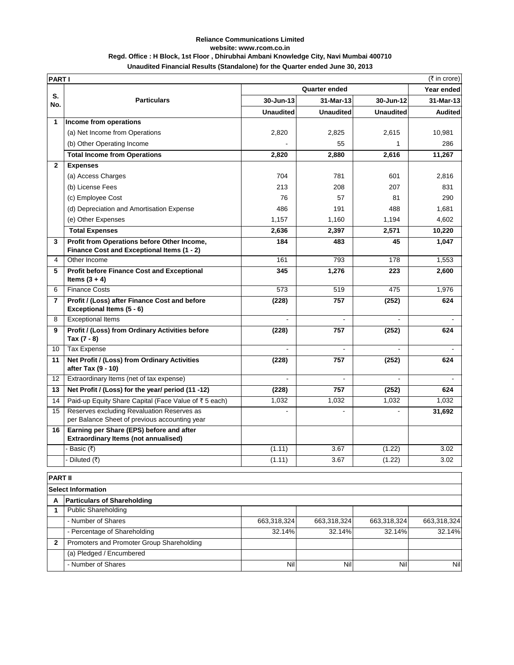## **Reliance Communications Limited website: www.rcom.co.in Regd. Office : H Block, 1st Floor , Dhirubhai Ambani Knowledge City, Navi Mumbai 400710 Unaudited Financial Results (Standalone) for the Quarter ended June 30, 2013**

| <b>PARTI</b>   |                                                                                             |                  |                      |                  | (₹ in crore)   |
|----------------|---------------------------------------------------------------------------------------------|------------------|----------------------|------------------|----------------|
|                |                                                                                             |                  | <b>Quarter ended</b> |                  | Year ended     |
| S.<br>No.      | <b>Particulars</b>                                                                          | 30-Jun-13        | 31-Mar-13            | 30-Jun-12        | 31-Mar-13      |
|                |                                                                                             | <b>Unaudited</b> | <b>Unaudited</b>     | <b>Unaudited</b> | <b>Audited</b> |
| $\mathbf{1}$   | Income from operations                                                                      |                  |                      |                  |                |
|                | (a) Net Income from Operations                                                              | 2,820            | 2,825                | 2,615            | 10,981         |
|                | (b) Other Operating Income                                                                  |                  | 55                   | $\mathbf{1}$     | 286            |
|                | <b>Total Income from Operations</b>                                                         | 2,820            | 2,880                | 2,616            | 11,267         |
| $\mathbf{2}$   | <b>Expenses</b>                                                                             |                  |                      |                  |                |
|                | (a) Access Charges                                                                          | 704              | 781                  | 601              | 2,816          |
|                | (b) License Fees                                                                            | 213              | 208                  | 207              | 831            |
|                | (c) Employee Cost                                                                           | 76               | 57                   | 81               | 290            |
|                | (d) Depreciation and Amortisation Expense                                                   | 486              | 191                  | 488              | 1,681          |
|                | (e) Other Expenses                                                                          | 1,157            | 1,160                | 1,194            | 4,602          |
|                | <b>Total Expenses</b>                                                                       | 2,636            | 2,397                | 2,571            | 10,220         |
| 3              | Profit from Operations before Other Income,<br>Finance Cost and Exceptional Items (1 - 2)   | 184              | 483                  | 45               | 1,047          |
| 4              | Other Income                                                                                | 161              | 793                  | 178              | 1.553          |
| 5              | <b>Profit before Finance Cost and Exceptional</b><br>Items $(3 + 4)$                        | 345              | 1,276                | 223              | 2,600          |
| 6              | <b>Finance Costs</b>                                                                        | 573              | 519                  | 475              | 1,976          |
| $\overline{7}$ | Profit / (Loss) after Finance Cost and before<br>Exceptional Items (5 - 6)                  | (228)            | 757                  | (252)            | 624            |
| 8              | <b>Exceptional Items</b>                                                                    |                  |                      |                  |                |
| 9              | Profit / (Loss) from Ordinary Activities before<br>Tax (7 - 8)                              | (228)            | 757                  | (252)            | 624            |
| 10             | <b>Tax Expense</b>                                                                          |                  |                      |                  |                |
| 11             | Net Profit / (Loss) from Ordinary Activities<br>after Tax (9 - 10)                          | (228)            | 757                  | (252)            | 624            |
| 12             | Extraordinary Items (net of tax expense)                                                    | $\blacksquare$   | $\overline{a}$       | $\blacksquare$   |                |
| 13             | Net Profit / (Loss) for the year/ period (11 -12)                                           | (228)            | 757                  | (252)            | 624            |
| 14             | Paid-up Equity Share Capital (Face Value of ₹5 each)                                        | 1,032            | 1,032                | 1,032            | 1,032          |
| 15             | Reserves excluding Revaluation Reserves as<br>per Balance Sheet of previous accounting year |                  |                      |                  | 31,692         |
| 16             | Earning per Share (EPS) before and after<br><b>Extraordinary Items (not annualised)</b>     |                  |                      |                  |                |
|                | · Basic (₹)                                                                                 | (1.11)           | 3.67                 | (1.22)           | 3.02           |
|                | Diluted (₹)                                                                                 | (1.11)           | 3.67                 | (1.22)           | 3.02           |

|   | <b>PART II</b>                            |             |             |             |             |  |
|---|-------------------------------------------|-------------|-------------|-------------|-------------|--|
|   | <b>Select Information</b>                 |             |             |             |             |  |
| А | <b>Particulars of Shareholding</b>        |             |             |             |             |  |
|   | <b>Public Shareholding</b>                |             |             |             |             |  |
|   | - Number of Shares                        | 663,318,324 | 663,318,324 | 663,318,324 | 663,318,324 |  |
|   | - Percentage of Shareholding              | 32.14%      | 32.14%      | 32.14%      | 32.14%      |  |
|   | Promoters and Promoter Group Shareholding |             |             |             |             |  |
|   | (a) Pledged / Encumbered                  |             |             |             |             |  |
|   | - Number of Shares                        | <b>Nill</b> | Nil         | Nil         | <b>Nil</b>  |  |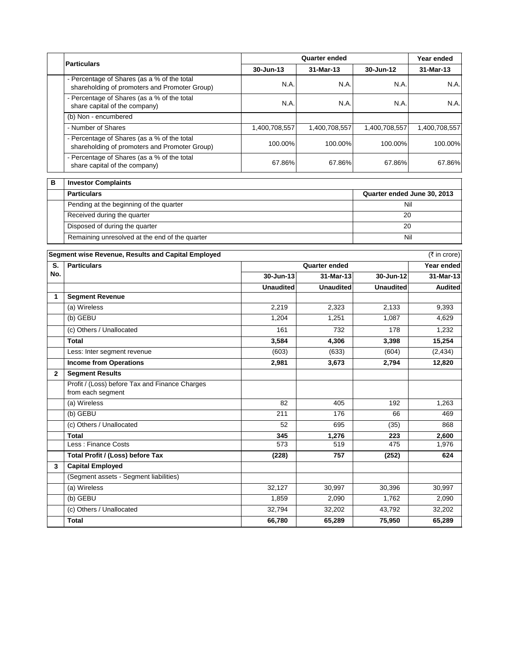|   | <b>Particulars</b>                                                                           | Quarter ended |               |               | Year ended                  |  |
|---|----------------------------------------------------------------------------------------------|---------------|---------------|---------------|-----------------------------|--|
|   |                                                                                              | 30-Jun-13     | 31-Mar-13     | 30-Jun-12     | 31-Mar-13                   |  |
|   | - Percentage of Shares (as a % of the total<br>shareholding of promoters and Promoter Group) | N.A.          | N.A.          | N.A.          | N.A.                        |  |
|   | - Percentage of Shares (as a % of the total<br>share capital of the company)                 | N.A.          | N.A.          | N.A.          | N.A.                        |  |
|   | (b) Non - encumbered                                                                         |               |               |               |                             |  |
|   | - Number of Shares                                                                           | 1,400,708,557 | 1,400,708,557 | 1,400,708,557 | 1,400,708,557               |  |
|   | - Percentage of Shares (as a % of the total<br>shareholding of promoters and Promoter Group) | 100.00%       | 100.00%       | 100.00%       | 100.00%                     |  |
|   | - Percentage of Shares (as a % of the total<br>share capital of the company)                 | 67.86%        | 67.86%        | 67.86%        | 67.86%                      |  |
| в | <b>Investor Complaints</b>                                                                   |               |               |               |                             |  |
|   | <b>Particulars</b>                                                                           |               |               |               | Quarter ended June 30, 2013 |  |
|   | Pending at the heginning of the quarter                                                      |               |               | Nil           |                             |  |

| ---------                                      | $-$ |
|------------------------------------------------|-----|
| Pending at the beginning of the quarter        | Nil |
| Received during the quarter                    | 20  |
| Disposed of during the quarter                 | 20  |
| Remaining unresolved at the end of the quarter | Nil |

| Segment wise Revenue, Results and Capital Employed |                                                                     |                      |                  |                  | (₹ in crore)   |
|----------------------------------------------------|---------------------------------------------------------------------|----------------------|------------------|------------------|----------------|
| S.                                                 | <b>Particulars</b>                                                  | <b>Quarter ended</b> |                  |                  | Year ended     |
| No.                                                |                                                                     | 30-Jun-13            | 31-Mar-13        | 30-Jun-12        | 31-Mar-13      |
|                                                    |                                                                     | <b>Unaudited</b>     | <b>Unaudited</b> | <b>Unaudited</b> | <b>Audited</b> |
| 1                                                  | <b>Segment Revenue</b>                                              |                      |                  |                  |                |
|                                                    | (a) Wireless                                                        | 2,219                | 2,323            | 2,133            | 9,393          |
|                                                    | (b) GEBU                                                            | 1,204                | 1,251            | 1,087            | 4,629          |
|                                                    | (c) Others / Unallocated                                            | 161                  | 732              | 178              | 1,232          |
|                                                    | <b>Total</b>                                                        | 3,584                | 4,306            | 3,398            | 15,254         |
|                                                    | Less: Inter segment revenue                                         | (603)                | (633)            | (604)            | (2, 434)       |
|                                                    | <b>Income from Operations</b>                                       | 2,981                | 3,673            | 2,794            | 12,820         |
| $\mathbf{2}$                                       | <b>Segment Results</b>                                              |                      |                  |                  |                |
|                                                    | Profit / (Loss) before Tax and Finance Charges<br>from each segment |                      |                  |                  |                |
|                                                    | (a) Wireless                                                        | 82                   | 405              | 192              | 1,263          |
|                                                    | (b) GEBU                                                            | 211                  | 176              | 66               | 469            |
|                                                    | (c) Others / Unallocated                                            | 52                   | 695              | (35)             | 868            |
|                                                    | <b>Total</b>                                                        | 345                  | 1,276            | 223              | 2,600          |
|                                                    | Less: Finance Costs                                                 | 573                  | 519              | 475              | 1,976          |
|                                                    | Total Profit / (Loss) before Tax                                    | (228)                | 757              | (252)            | 624            |
| 3                                                  | <b>Capital Employed</b>                                             |                      |                  |                  |                |
|                                                    | (Segment assets - Segment liabilities)                              |                      |                  |                  |                |
|                                                    | (a) Wireless                                                        | 32,127               | 30,997           | 30,396           | 30,997         |
|                                                    | (b) GEBU                                                            | 1,859                | 2,090            | 1,762            | 2,090          |
|                                                    | (c) Others / Unallocated                                            | 32,794               | 32,202           | 43,792           | 32,202         |
|                                                    | <b>Total</b>                                                        | 66,780               | 65,289           | 75,950           | 65,289         |